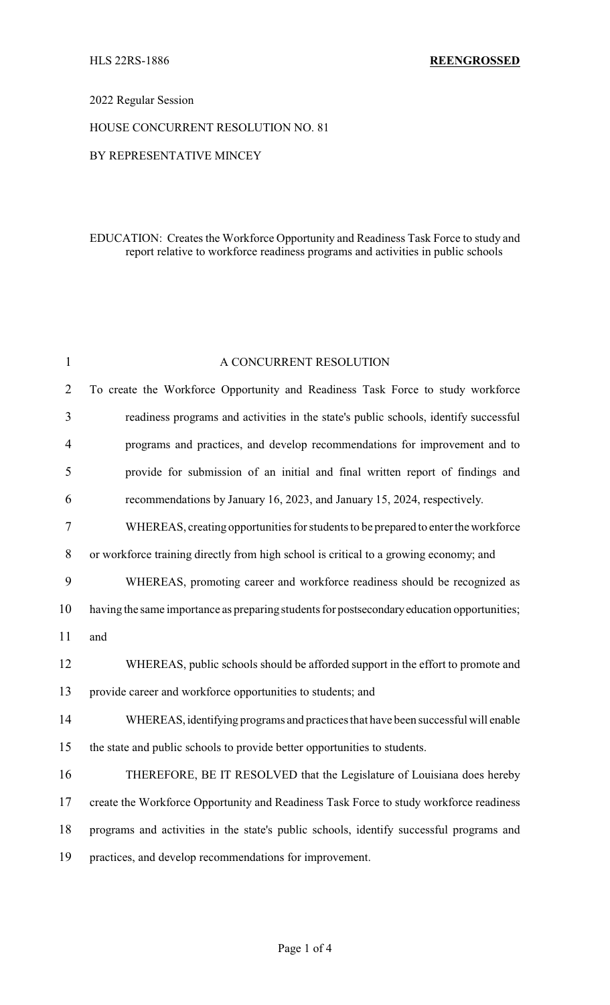## 2022 Regular Session

### HOUSE CONCURRENT RESOLUTION NO. 81

### BY REPRESENTATIVE MINCEY

## EDUCATION: Creates the Workforce Opportunity and Readiness Task Force to study and report relative to workforce readiness programs and activities in public schools

| $\mathbf{1}$   | A CONCURRENT RESOLUTION                                                                     |  |  |
|----------------|---------------------------------------------------------------------------------------------|--|--|
| $\overline{2}$ | To create the Workforce Opportunity and Readiness Task Force to study workforce             |  |  |
| 3              | readiness programs and activities in the state's public schools, identify successful        |  |  |
| $\overline{4}$ | programs and practices, and develop recommendations for improvement and to                  |  |  |
| 5              | provide for submission of an initial and final written report of findings and               |  |  |
| 6              | recommendations by January 16, 2023, and January 15, 2024, respectively.                    |  |  |
| 7              | WHEREAS, creating opportunities for students to be prepared to enter the workforce          |  |  |
| 8              | or workforce training directly from high school is critical to a growing economy; and       |  |  |
| 9              | WHEREAS, promoting career and workforce readiness should be recognized as                   |  |  |
| 10             | having the same importance as preparing students for postsecondary education opportunities; |  |  |
| 11             | and                                                                                         |  |  |
| 12             | WHEREAS, public schools should be afforded support in the effort to promote and             |  |  |
| 13             | provide career and workforce opportunities to students; and                                 |  |  |
| 14             | WHEREAS, identifying programs and practices that have been successful will enable           |  |  |
| 15             | the state and public schools to provide better opportunities to students.                   |  |  |
| 16             | THEREFORE, BE IT RESOLVED that the Legislature of Louisiana does hereby                     |  |  |
| 17             | create the Workforce Opportunity and Readiness Task Force to study workforce readiness      |  |  |
| 18             | programs and activities in the state's public schools, identify successful programs and     |  |  |
| 19             | practices, and develop recommendations for improvement.                                     |  |  |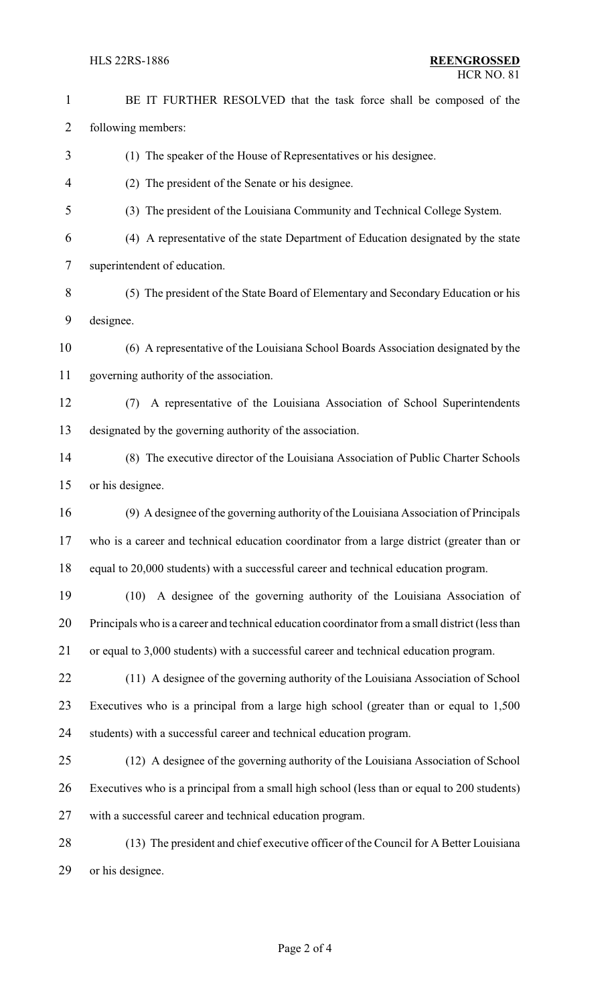BE IT FURTHER RESOLVED that the task force shall be composed of the following members: (1) The speaker of the House of Representatives or his designee. (2) The president of the Senate or his designee. (3) The president of the Louisiana Community and Technical College System. (4) A representative of the state Department of Education designated by the state superintendent of education. (5) The president of the State Board of Elementary and Secondary Education or his designee. (6) A representative of the Louisiana School Boards Association designated by the governing authority of the association. (7) A representative of the Louisiana Association of School Superintendents designated by the governing authority of the association. (8) The executive director of the Louisiana Association of Public Charter Schools or his designee. (9) A designee of the governing authority of the Louisiana Association of Principals who is a career and technical education coordinator from a large district (greater than or equal to 20,000 students) with a successful career and technical education program. (10) A designee of the governing authority of the Louisiana Association of Principals who is a career and technical education coordinator from a small district (less than or equal to 3,000 students) with a successful career and technical education program. (11) A designee of the governing authority of the Louisiana Association of School Executives who is a principal from a large high school (greater than or equal to 1,500 students) with a successful career and technical education program. (12) A designee of the governing authority of the Louisiana Association of School Executives who is a principal from a small high school (less than or equal to 200 students) with a successful career and technical education program. (13) The president and chief executive officer of the Council for A Better Louisiana or his designee.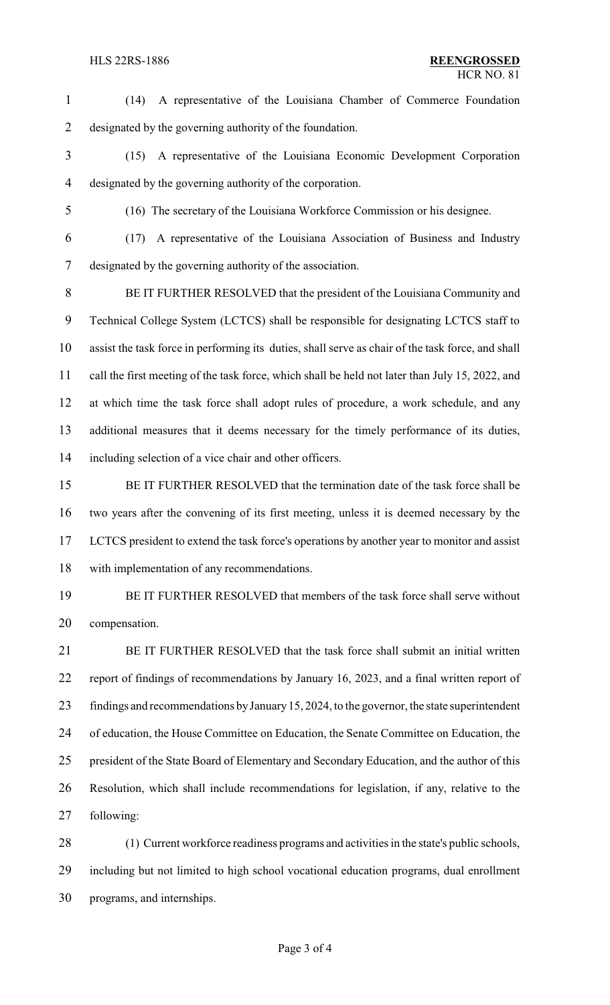(14) A representative of the Louisiana Chamber of Commerce Foundation designated by the governing authority of the foundation. (15) A representative of the Louisiana Economic Development Corporation designated by the governing authority of the corporation. (16) The secretary of the Louisiana Workforce Commission or his designee.

 (17) A representative of the Louisiana Association of Business and Industry designated by the governing authority of the association.

 BE IT FURTHER RESOLVED that the president of the Louisiana Community and Technical College System (LCTCS) shall be responsible for designating LCTCS staff to assist the task force in performing its duties, shall serve as chair of the task force, and shall call the first meeting of the task force, which shall be held not later than July 15, 2022, and at which time the task force shall adopt rules of procedure, a work schedule, and any additional measures that it deems necessary for the timely performance of its duties, including selection of a vice chair and other officers.

 BE IT FURTHER RESOLVED that the termination date of the task force shall be two years after the convening of its first meeting, unless it is deemed necessary by the LCTCS president to extend the task force's operations by another year to monitor and assist with implementation of any recommendations.

 BE IT FURTHER RESOLVED that members of the task force shall serve without compensation.

 BE IT FURTHER RESOLVED that the task force shall submit an initial written report of findings of recommendations by January 16, 2023, and a final written report of findings and recommendations byJanuary15, 2024, to the governor, the state superintendent of education, the House Committee on Education, the Senate Committee on Education, the president of the State Board of Elementary and Secondary Education, and the author of this Resolution, which shall include recommendations for legislation, if any, relative to the following:

 (1) Current workforce readiness programs and activities in the state's public schools, including but not limited to high school vocational education programs, dual enrollment programs, and internships.